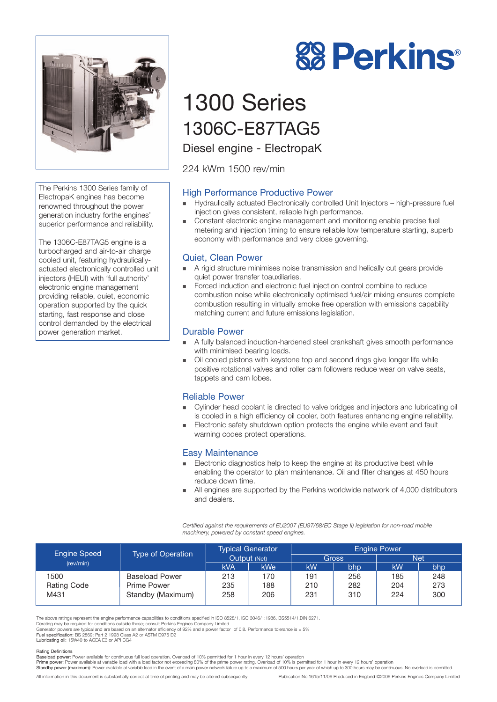

The Perkins 1300 Series family of ElectropaK engines has become renowned throughout the power generation industry forthe engines' superior performance and reliability.

The 1306C-E87TAG5 engine is a turbocharged and air-to-air charge cooled unit, featuring hydraulicallyactuated electronically controlled unit injectors (HEUI) with 'full authority' electronic engine management providing reliable, quiet, economic operation supported by the quick starting, fast response and close control demanded by the electrical power generation market.

# **88 Perkins®**

# 1300 Series 1306C-E87TAG5

Diesel engine - ElectropaK

224 kWm 1500 rev/min

# High Performance Productive Power

- ! Hydraulically actuated Electronically controlled Unit Injectors high-pressure fuel injection gives consistent, reliable high performance.
- **EXECONSTANT EXECTS CONSTANT EXECTS** Constant electronic engine management and monitoring enable precise fuel metering and injection timing to ensure reliable low temperature starting, superb economy with performance and very close governing.

# Quiet, Clean Power

- ! A rigid structure minimises noise transmission and helically cut gears provide quiet power transfer toauxiliaries.
- ! Forced induction and electronic fuel injection control combine to reduce combustion noise while electronically optimised fuel/air mixing ensures complete combustion resulting in virtually smoke free operation with emissions capability matching current and future emissions legislation.

# Durable Power

- ! A fully balanced induction-hardened steel crankshaft gives smooth performance with minimised bearing loads.
- Oil cooled pistons with keystone top and second rings give longer life while positive rotational valves and roller cam followers reduce wear on valve seats, tappets and cam lobes.

## Reliable Power

- ! Cylinder head coolant is directed to valve bridges and injectors and lubricating oil is cooled in a high efficiency oil cooler, both features enhancing engine reliability.
- **Electronic safety shutdown option protects the engine while event and fault** warning codes protect operations.

## Easy Maintenance

- **Electronic diagnostics help to keep the engine at its productive best while** enabling the operator to plan maintenance. Oil and filter changes at 450 hours reduce down time.
- ! All engines are supported by the Perkins worldwide network of 4,000 distributors and dealers.

*Certified against the requirements of EU2007 (EU97/68/EC Stage II) legislation for non-road mobile machinery, powered by constant speed engines.*

| <b>Engine Speed</b><br>(rev/min) | <b>Type of Operation</b> | <b>Typical Generator</b><br>Output (Net) |            | <b>Engine Power</b> |     |           |     |
|----------------------------------|--------------------------|------------------------------------------|------------|---------------------|-----|-----------|-----|
|                                  |                          |                                          |            | <b>Gross</b>        |     | Net       |     |
|                                  |                          | <b>kVA</b>                               | <b>kWe</b> | kW                  | bhp | <b>kW</b> | bhp |
| 1500                             | <b>Baseload Power</b>    | 213                                      | 170        | 191                 | 256 | 185       | 248 |
| Rating Code                      | Prime Power              | 235                                      | 188        | 210                 | 282 | 204       | 273 |
| M431                             | Standby (Maximum)        | 258                                      | 206        | 231                 | 310 | 224       | 300 |
|                                  |                          |                                          |            |                     |     |           |     |

The above ratings represent the engine performance capabilities to conditions specified in ISO 8528/1, ISO 3046/1:1986, BS5514/1,DIN 6271.

Derating may be required for conditions outside these; consult Perkins Engines Company Limited<br>Generator powers are typical and are based on an alternator efficiency of 92% and a power factor of 0.8. Performance tolerance

Lubricating oil: 15W40 to ACEA E3 or API CG4

#### Rating Definitions

Baseload power: Power available for continuous full load operation. Overload of 10% permitted for 1 hour in every 12 hours' operation<br>Prime power: Power available at variable load with a load factor not exceeding 80% of th

Standby power (maximum): Power available at variable load in the event of a main power network failure up to a maximum of 500 hours per year of which up to 300 hours may be continuous. No overload is permitted.